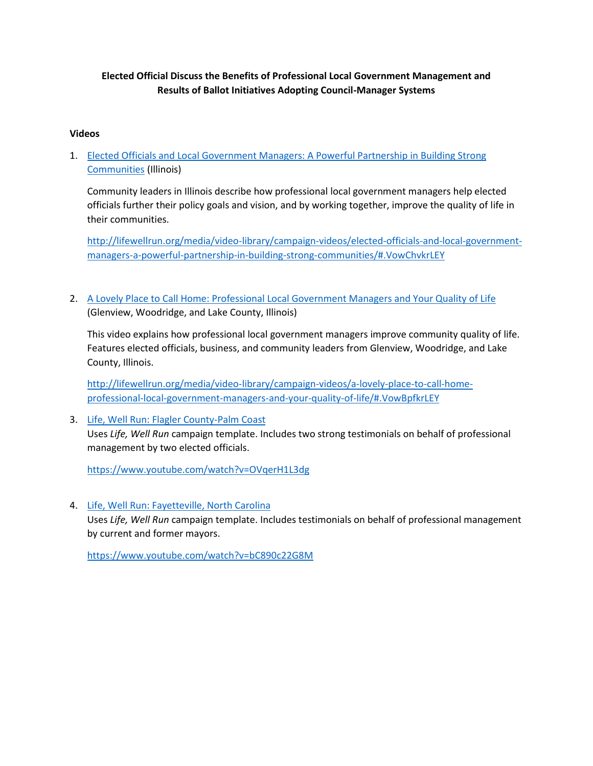# **Elected Official Discuss the Benefits of Professional Local Government Management and Results of Ballot Initiatives Adopting Council-Manager Systems**

### **Videos**

1. [Elected Officials and Local Government Managers: A Powerful Partnership in Building Strong](http://lifewellrun.org/media/video-library/campaign-videos/elected-officials-and-local-government-managers-a-powerful-partnership-in-building-strong-communities/#.VowChvkrLEY)  [Communities](http://lifewellrun.org/media/video-library/campaign-videos/elected-officials-and-local-government-managers-a-powerful-partnership-in-building-strong-communities/#.VowChvkrLEY) (Illinois)

Community leaders in Illinois describe how professional local government managers help elected officials further their policy goals and vision, and by working together, improve the quality of life in their communities.

[http://lifewellrun.org/media/video-library/campaign-videos/elected-officials-and-local-government](http://lifewellrun.org/media/video-library/campaign-videos/elected-officials-and-local-government-managers-a-powerful-partnership-in-building-strong-communities/#.VowChvkrLEY)[managers-a-powerful-partnership-in-building-strong-communities/#.VowChvkrLEY](http://lifewellrun.org/media/video-library/campaign-videos/elected-officials-and-local-government-managers-a-powerful-partnership-in-building-strong-communities/#.VowChvkrLEY)

2. [A Lovely Place to Call Home: Professional Local Government Managers and Your Quality of Life](http://lifewellrun.org/media/video-library/campaign-videos/a-lovely-place-to-call-home-professional-local-government-managers-and-your-quality-of-life/#.VowBpfkrLEY) (Glenview, Woodridge, and Lake County, Illinois)

This video explains how professional local government managers improve community quality of life. Features elected officials, business, and community leaders from Glenview, Woodridge, and Lake County, Illinois.

[http://lifewellrun.org/media/video-library/campaign-videos/a-lovely-place-to-call-home](http://lifewellrun.org/media/video-library/campaign-videos/a-lovely-place-to-call-home-professional-local-government-managers-and-your-quality-of-life/#.VowBpfkrLEY)[professional-local-government-managers-and-your-quality-of-life/#.VowBpfkrLEY](http://lifewellrun.org/media/video-library/campaign-videos/a-lovely-place-to-call-home-professional-local-government-managers-and-your-quality-of-life/#.VowBpfkrLEY)

3. Life, Well Run: [Flagler County-Palm Coast](https://www.youtube.com/watch?v=OVqerH1L3dg) Uses *Life, Well Run* campaign template. Includes two strong testimonials on behalf of professional management by two elected officials.

<https://www.youtube.com/watch?v=OVqerH1L3dg>

4. [Life, Well Run: Fayetteville, North Carolina](https://www.youtube.com/watch?v=bC890c22G8M)

Uses *Life, Well Run* campaign template. Includes testimonials on behalf of professional management by current and former mayors.

<https://www.youtube.com/watch?v=bC890c22G8M>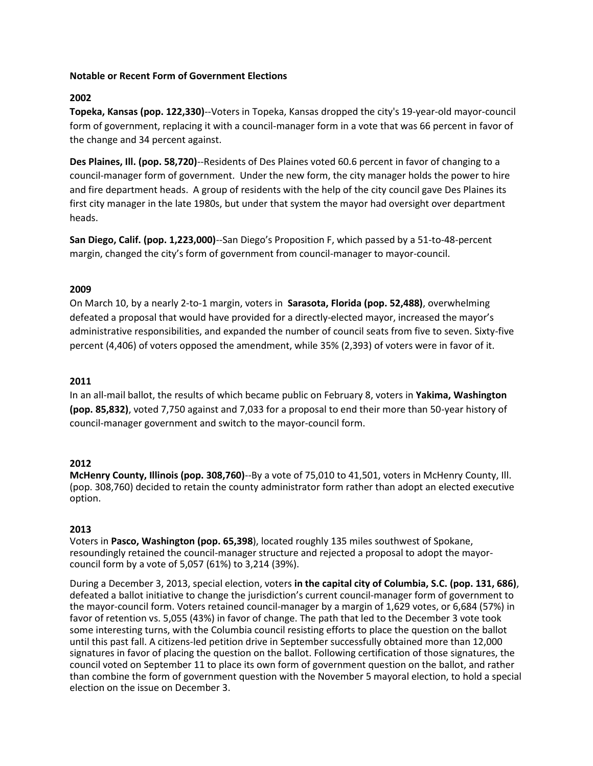#### **Notable or Recent Form of Government Elections**

### **2002**

**Topeka, Kansas (pop. 122,330)**--Voters in Topeka, Kansas dropped the city's 19-year-old mayor-council form of government, replacing it with a council-manager form in a vote that was 66 percent in favor of the change and 34 percent against.

**Des Plaines, Ill. (pop. 58,720)**--Residents of Des Plaines voted 60.6 percent in favor of changing to a council-manager form of government. Under the new form, the city manager holds the power to hire and fire department heads. A group of residents with the help of the city council gave Des Plaines its first city manager in the late 1980s, but under that system the mayor had oversight over department heads.

**San Diego, Calif. (pop. 1,223,000)**--San Diego's Proposition F, which passed by a 51-to-48-percent margin, changed the city's form of government from council-manager to mayor-council.

# **2009**

On March 10, by a nearly 2-to-1 margin, voters in **Sarasota, Florida (pop. 52,488)**, overwhelming defeated a proposal that would have provided for a directly-elected mayor, increased the mayor's administrative responsibilities, and expanded the number of council seats from five to seven. Sixty-five percent (4,406) of voters opposed the amendment, while 35% (2,393) of voters were in favor of it.

# **2011**

In an all-mail ballot, the results of which became public on February 8, voters in **Yakima, Washington (pop. 85,832)**, voted 7,750 against and 7,033 for a proposal to end their more than 50-year history of council-manager government and switch to the mayor-council form.

### **2012**

**McHenry County, Illinois (pop. 308,760)**--By a vote of 75,010 to 41,501, voters in McHenry County, Ill. (pop. 308,760) decided to retain the county administrator form rather than adopt an elected executive option.

### **2013**

Voters in **Pasco, Washington (pop. 65,398**), located roughly 135 miles southwest of Spokane, resoundingly retained the council-manager structure and rejected a proposal to adopt the mayorcouncil form by a vote of 5,057 (61%) to 3,214 (39%).

During a December 3, 2013, special election, voters **in the capital city of Columbia, S.C. (pop. 131, 686)**, defeated a ballot initiative to change the jurisdiction's current council-manager form of government to the mayor-council form. Voters retained council-manager by a margin of 1,629 votes, or 6,684 (57%) in favor of retention vs. 5,055 (43%) in favor of change. The path that led to the December 3 vote took some interesting turns, with the Columbia council resisting efforts to place the question on the ballot until this past fall. A citizens-led petition drive in September successfully obtained more than 12,000 signatures in favor of placing the question on the ballot. Following certification of those signatures, the council voted on September 11 to place its own form of government question on the ballot, and rather than combine the form of government question with the November 5 mayoral election, to hold a special election on the issue on December 3.